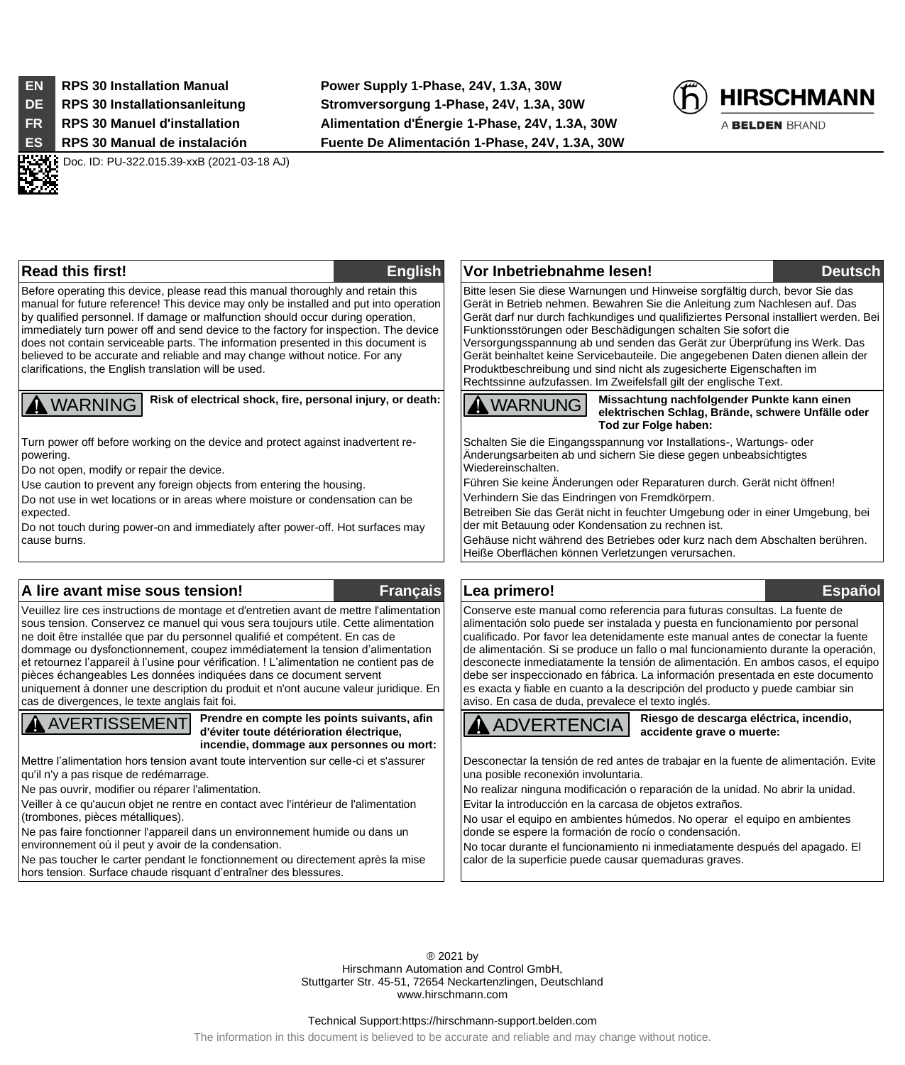- 
- 
- 

**EN RPS 30 Installation Manual Power Supply 1-Phase, 24V, 1.3A, 30W DE RPS 30 Installationsanleitung Stromversorgung 1-Phase, 24V, 1.3A, 30W FR RPS 30 Manuel d'installation Alimentation d'Énergie 1-Phase, 24V, 1.3A, 30W ES RPS 30 Manual de instalación Fuente De Alimentación 1-Phase, 24V, 1.3A, 30W**



A BELDEN BRAND

.

Doc. ID: PU-322.015.39-xxB (2021-03-18 AJ)

Before operating this device, please read this manual thoroughly and retain this manual for future reference! This device may only be installed and put into operation by qualified personnel. If damage or malfunction should occur during operation, immediately turn power off and send device to the factory for inspection. The device does not contain serviceable parts. The information presented in this document is believed to be accurate and reliable and may change without notice. For any clarifications, the English translation will be used.

**A** WARNING **Risk of electrical shock, fire, personal injury, or death:**

Turn power off before working on the device and protect against inadvertent repowering.

Do not open, modify or repair the device.

Use caution to prevent any foreign objects from entering the housing.

Do not use in wet locations or in areas where moisture or condensation can be expected.

Do not touch during power-on and immediately after power-off. Hot surfaces may cause burns.

# **A lire avant mise sous tension! Français Lea primero! Español**

Veuillez lire ces instructions de montage et d'entretien avant de mettre l'alimentation sous tension. Conservez ce manuel qui vous sera toujours utile. Cette alimentation ne doit être installée que par du personnel qualifié et compétent. En cas de dommage ou dysfonctionnement, coupez immédiatement la tension d'alimentation et retournez l'appareil à l'usine pour vérification. ! L'alimentation ne contient pas de pièces échangeables Les données indiquées dans ce document servent uniquement à donner une description du produit et n'ont aucune valeur juridique. En cas de divergences, le texte anglais fait foi.



**Prendre en compte les points suivants, afin d'éviter toute détérioration électrique, incendie, dommage aux personnes ou mort:**

Mettre l'alimentation hors tension avant toute intervention sur celle-ci et s'assurer qu'il n'y a pas risque de redémarrage.

Ne pas ouvrir, modifier ou réparer l'alimentation.

Veiller à ce qu'aucun objet ne rentre en contact avec l'intérieur de l'alimentation (trombones, pièces métalliques).

Ne pas faire fonctionner l'appareil dans un environnement humide ou dans un environnement où il peut y avoir de la condensation.

Ne pas toucher le carter pendant le fonctionnement ou directement après la mise hors tension. Surface chaude risquant d'entraîner des blessures.

**Read this first! English Vor Inbetriebnahme lesen! Deutsch** Bitte lesen Sie diese Warnungen und Hinweise sorgfältig durch, bevor Sie das Gerät in Betrieb nehmen. Bewahren Sie die Anleitung zum Nachlesen auf. Das Gerät darf nur durch fachkundiges und qualifiziertes Personal installiert werden. Bei Funktionsstörungen oder Beschädigungen schalten Sie sofort die Versorgungsspannung ab und senden das Gerät zur Überprüfung ins Werk. Das Gerät beinhaltet keine Servicebauteile. Die angegebenen Daten dienen allein der Produktbeschreibung und sind nicht als zugesicherte Eigenschaften im Rechtssinne aufzufassen. Im Zweifelsfall gilt der englische Text.

WARNUNG

**Missachtung nachfolgender Punkte kann einen elektrischen Schlag, Brände, schwere Unfälle oder Tod zur Folge haben:**

Schalten Sie die Eingangsspannung vor Installations-, Wartungs- oder Änderungsarbeiten ab und sichern Sie diese gegen unbeabsichtigtes Wiedereinschalten.

Führen Sie keine Änderungen oder Reparaturen durch. Gerät nicht öffnen! Verhindern Sie das Eindringen von Fremdkörpern.

Betreiben Sie das Gerät nicht in feuchter Umgebung oder in einer Umgebung, bei der mit Betauung oder Kondensation zu rechnen ist.

Gehäuse nicht während des Betriebes oder kurz nach dem Abschalten berühren. Heiße Oberflächen können Verletzungen verursachen.

### Conserve este manual como referencia para futuras consultas. La fuente de alimentación solo puede ser instalada y puesta en funcionamiento por personal cualificado. Por favor lea detenidamente este manual antes de conectar la fuente de alimentación. Si se produce un fallo o mal funcionamiento durante la operación, desconecte inmediatamente la tensión de alimentación. En ambos casos, el equipo debe ser inspeccionado en fábrica. La información presentada en este documento es exacta y fiable en cuanto a la descripción del producto y puede cambiar sin aviso. En casa de duda, prevalece el texto inglés.

ADVERTENCIA

**Riesgo de descarga eléctrica, incendio, accidente grave o muerte:**

Desconectar la tensión de red antes de trabajar en la fuente de alimentación. Evite una posible reconexión involuntaria.

No realizar ninguna modificación o reparación de la unidad. No abrir la unidad. Evitar la introducción en la carcasa de objetos extraños.

No usar el equipo en ambientes húmedos. No operar el equipo en ambientes donde se espere la formación de rocío o condensación.

No tocar durante el funcionamiento ni inmediatamente después del apagado. El calor de la superficie puede causar quemaduras graves.

® 2021 by Hirschmann Automation and Control GmbH, Stuttgarter Str. 45-51, 72654 Neckartenzlingen, Deutschland www.hirschmann.com

### Technical Support:https://hirschmann-support.belden.com

The information in this document is believed to be accurate and reliable and may change without notice.